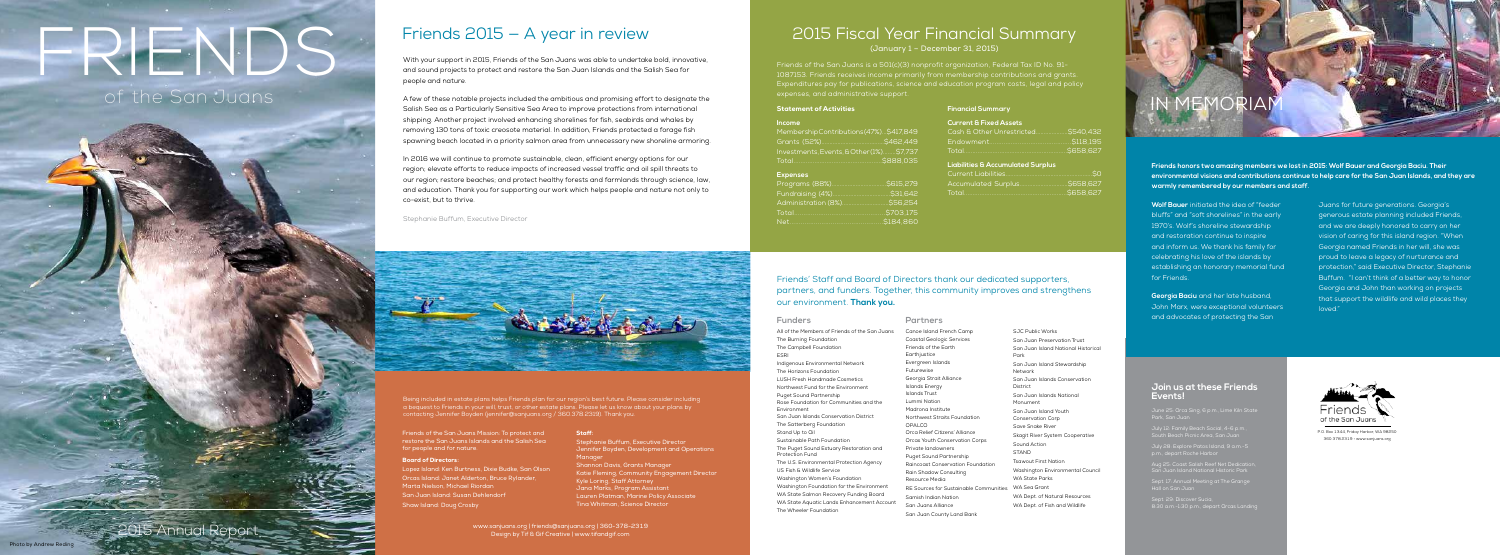**Partners**

Canoe Island French Camp Coastal Geologic Services Friends of the Earth Earthjustice Evergreen Islands Futurewise Georgia Strait Alliance Islands Energy Islands Trust Lummi Nation Madrona Institute Northwest Straits Foundation OPALCO Orca Relief Citizens' Alliance Orcas Youth Conservation Corps Private landowners Puget Sound Partnership Raincoast Conservation Foundation Rain Shadow Consulting Resource Media RE Sources for Sustainable Communities Samish Indian Nation San Juans Alliance San Juan County Land Bank

SJC Public Works San Juan Preservation Trust San Juan Island National Historical Park San Juan Island Stewardship Network San Juan Islands Conservation District San Juan Islands National Monument San Juan Island Youth Conservation Corp Save Snake River Skagit River System Cooperative Sound Action STAND Tsawout First Nation Washington Environmental Council WA State Parks WA Sea Grant WA Dept. of Natural Resources WA Dept. of Fish and Wildlife

2015 Annual Report

# FRIENDS of the San Juans

#### **Join us at these Friends Events!**

June 25: Orca Sing, 6 p.m., Lime Kiln State Park, San Juan

July 12: Family Beach Social, 4-6 p.m., South Beach Picnic Area, San Juan

July 28: Explore Patos Island, 9 a.m.-5 p.m., depart Roche Harbor

Aug 25: Coast Salish Reef Net Dedication, San Juan Island National Historic Park

Sept. 17: Annual Meeting at The Grange Hall on San Juan

Sept. 29: Discover Sucia, 8:30 a.m.-1:30 p.m., depart Orcas Landing



## Friends 2015 — A year in review

With your support in 2015, Friends of the San Juans was able to undertake bold, innovative, and sound projects to protect and restore the San Juan Islands and the Salish Sea for people and nature.

A few of these notable projects included the ambitious and promising effort to designate the Salish Sea as a Particularly Sensitive Sea Area to improve protections from international shipping. Another project involved enhancing shorelines for fish, seabirds and whales by removing 130 tons of toxic creosote material. In addition, Friends protected a forage fish spawning beach located in a priority salmon area from unnecessary new shoreline armoring.

> $31.642.$  $6.254.$ Total.................................................\$703,175

In 2016 we will continue to promote sustainable, clean, efficient energy options for our region; elevate efforts to reduce impacts of increased vessel traffic and oil spill threats to our region; restore beaches; and protect healthy forests and farmlands through science, law, and education. Thank you for supporting our work which helps people and nature not only to co-exist, but to thrive.

Stephanie Buffum, Executive Director



#### Staff:

Stephanie Buffum, Executive Director Jennifer Boyden, Development and Operations Manag Shannon Davis, Grants Manager Katie Fleming, Community Engagement Director Kyle Loring, Staff Attorney Jana Marks, Program Assistant Lauren Platman, Marine Policy Associate Tina Whitman, Science Director

Friends of the San Juans Mission: To protect and restore the San Juans Islands and the Salish Sea for people and for nature.

#### Board of Directors:

Lopez Island: Ken Burtness, Dixie Budke, San Olson Orcas Island: Janet Alderton, Bruce Rylander, Marta Nielson, Michael Riordan San Juan Island: Susan Dehlendorf Shaw Island: Doug Crosby

**P.O. Box 1344, Friday Harbor, WA 98250** 360.378.2319 • www.sanjuans.org

www.sanjuans.org | friends@sanjuans.org | 360-378-2319 Design by Tif & Gif Creative | www.tifandgif.com

### 2015 Fiscal Year Financial Summary

(January 1 – December 31, 2015)

#### **Financial Summary**

#### **Current & Fixed Assets**

#### **Liabilities & Accumulated Surplus**

| Accumulated Surplus\$658,627 |  |
|------------------------------|--|
|                              |  |
|                              |  |

Friends' Staff and Board of Directors thank our dedicated supporters, partners, and funders. Together, this community improves and strengthens our environment. **Thank you.**

| Statement of Activities |  |
|-------------------------|--|
|                         |  |
|                         |  |

#### **Income**

| MembershipContributions(47%)\$417,849   |  |
|-----------------------------------------|--|
|                                         |  |
| Investments, Events, & Other(1%)\$7,737 |  |
|                                         |  |
|                                         |  |

#### **Expenses**

| Administration (8%)\$56,254 |  |
|-----------------------------|--|
|                             |  |
|                             |  |

Being included in estate plans helps Friends plan for our region's best future. Please consider including contacting Jennifer Boyden (jennifer@sanjuans.org / 360.378.2319). Thank you.

#### **Funders**

All of the Members of Friends of the San Juans The Burning Foundation The Campbell Foundation

Indigenous Environmental Network The Horizons Foundation LUSH Fresh Handmade Cosmetics

Northwest Fund for the Environment Puget Sound Partnership

Rose Foundation for Communities and the Environment San Juan Islands Conservation District

The Satterberg Foundation Stand Up to Oil

Sustainable Path Foundation The Puget Sound Estuary Restoration and Protection Fund

The U.S. Environmental Protection Agency US Fish & Wildlife Service

Washington Women's Foundation Washington Foundation for the Environment

WA State Salmon Recovery Funding Board WA State Aquatic Lands Enhancement Account The Wheeler Foundation

**Wolf Bauer** initiated the idea of "feeder bluffs" and "soft shorelines" in the early 1970's. Wolf's shoreline stewardship and restoration continue to inspire and inform us. We thank his family for celebrating his love of the islands by establishing an honorary memorial fund for Friends.

**Georgia Baciu** and her late husband, John Marx, were exceptional volunteers and advocates of protecting the San

Juans for future generations. Georgia's generous estate planning included Friends, and we are deeply honored to carry on her vision of caring for this island region. "When Georgia named Friends in her will, she was proud to leave a legacy of nurturance and protection," said Executive Director, Stephanie Buffum. "I can't think of a better way to honor Georgia and John than working on projects that support the wildlife and wild places they loved."



**Friends honors two amazing members we lost in 2015: Wolf Bauer and Georgia Baciu. Their environmental visions and contributions continue to help care for the San Juan Islands, and they are warmly remembered by our members and staff.**

Friends of the San Juans is a 501(c)(3) nonprofit organization, Federal Tax ID No. 91- 1087153. Friends receives income primarily from membership contributions and grants. Expenditures pay for publications, science and education program costs, legal and policy expenses, and administrative support.